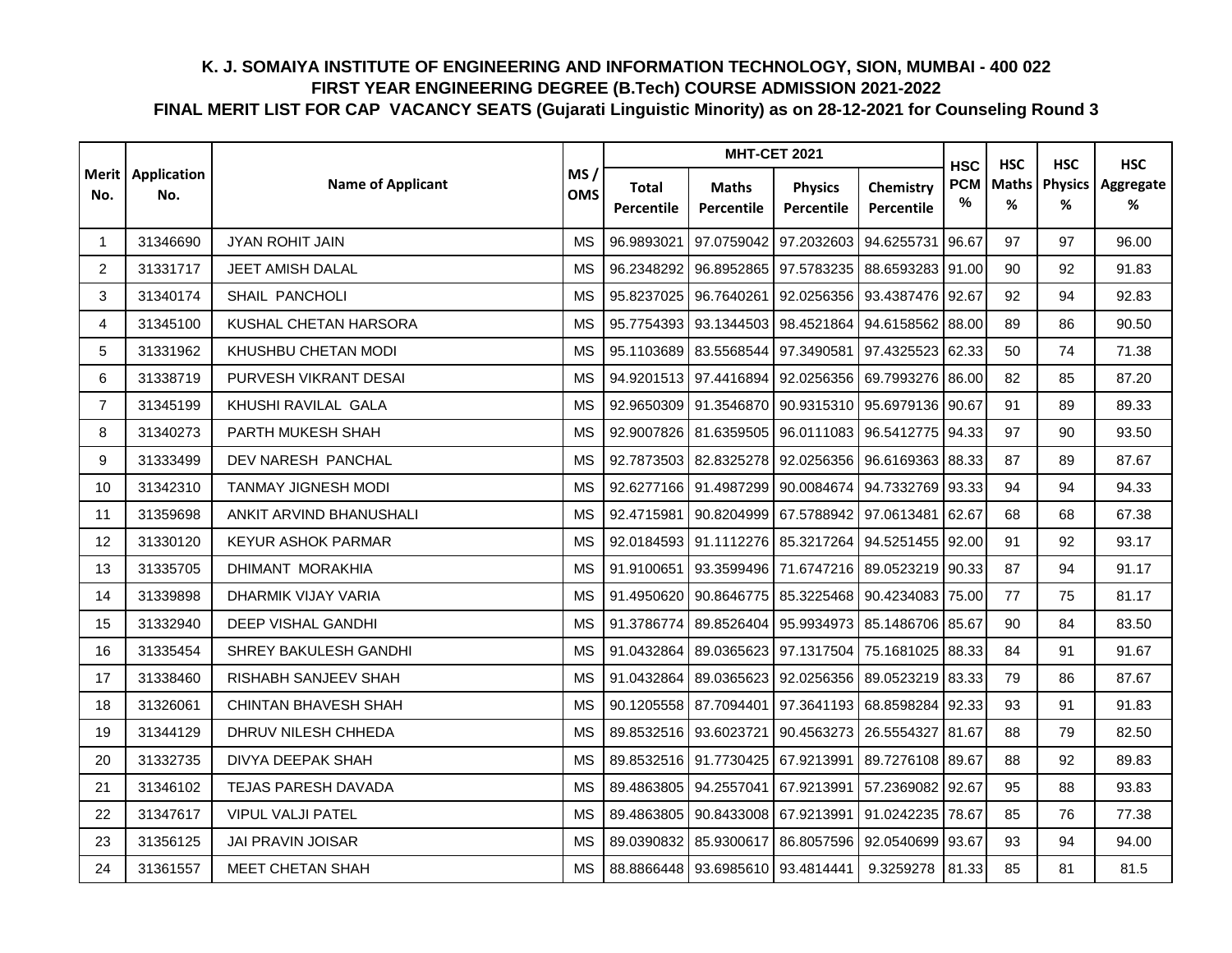|                |                           |                             | <b>MHT-CET 2021</b> |                            |                            |                                        |                                | <b>HSC</b>                    | <b>HSC</b>        | <b>HSC</b>          |                |
|----------------|---------------------------|-----------------------------|---------------------|----------------------------|----------------------------|----------------------------------------|--------------------------------|-------------------------------|-------------------|---------------------|----------------|
| Merit<br>No.   | <b>Application</b><br>No. | <b>Name of Applicant</b>    | MS/<br><b>OMS</b>   | <b>Total</b><br>Percentile | <b>Maths</b><br>Percentile | <b>Physics</b><br>Percentile           | Chemistry<br><b>Percentile</b> | <b>HSC</b><br><b>PCM</b><br>% | <b>Maths</b><br>% | <b>Physics</b><br>% | Aggregate<br>℅ |
| 1              | 31346690                  | <b>JYAN ROHIT JAIN</b>      | MS                  | 96.9893021                 | 97.0759042                 | 97.2032603 94.6255731 96.67            |                                |                               | 97                | 97                  | 96.00          |
| $\overline{2}$ | 31331717                  | <b>JEET AMISH DALAL</b>     | <b>MS</b>           | 96.2348292                 | 96.8952865                 | 97.5783235                             | 88.6593283 91.00               |                               | 90                | 92                  | 91.83          |
| 3              | 31340174                  | SHAIL PANCHOLI              | <b>MS</b>           | 95.8237025                 | 96.7640261                 | 92.0256356                             | 93.4387476 92.67               |                               | 92                | 94                  | 92.83          |
| 4              | 31345100                  | KUSHAL CHETAN HARSORA       | <b>MS</b>           | 95.7754393                 | 93.1344503                 | 98.4521864                             | 94.6158562 88.00               |                               | 89                | 86                  | 90.50          |
| 5              | 31331962                  | KHUSHBU CHETAN MODI         | <b>MS</b>           | 95.1103689                 | 83.5568544                 | 97.3490581                             | 97.4325523 62.33               |                               | 50                | 74                  | 71.38          |
| 6              | 31338719                  | PURVESH VIKRANT DESAI       | <b>MS</b>           | 94.9201513                 | 97.4416894                 | 92.0256356                             | 69.7993276 86.00               |                               | 82                | 85                  | 87.20          |
| $\overline{7}$ | 31345199                  | KHUSHI RAVILAL GALA         | MS                  | 92.9650309                 | 91.3546870                 | 90.9315310                             | 95.6979136 90.67               |                               | 91                | 89                  | 89.33          |
| 8              | 31340273                  | PARTH MUKESH SHAH           | <b>MS</b>           | 92.9007826                 | 81.6359505                 | 96.0111083                             | 96.5412775 94.33               |                               | 97                | 90                  | 93.50          |
| 9              | 31333499                  | DEV NARESH PANCHAL          | <b>MS</b>           | 92.7873503                 | 82.8325278                 | 92.0256356                             | 96.6169363 88.33               |                               | 87                | 89                  | 87.67          |
| 10             | 31342310                  | <b>TANMAY JIGNESH MODI</b>  | <b>MS</b>           | 92.6277166                 |                            | 91.4987299 90.0084674                  | 94.7332769 93.33               |                               | 94                | 94                  | 94.33          |
| 11             | 31359698                  | ANKIT ARVIND BHANUSHALI     | <b>MS</b>           | 92.4715981                 | 90.8204999                 | 67.5788942                             | 97.0613481 62.67               |                               | 68                | 68                  | 67.38          |
| 12             | 31330120                  | <b>KEYUR ASHOK PARMAR</b>   | <b>MS</b>           | 92.0184593                 | 91.1112276                 | 85.3217264                             | 94.5251455 92.00               |                               | 91                | 92                  | 93.17          |
| 13             | 31335705                  | DHIMANT MORAKHIA            | <b>MS</b>           | 91.9100651                 |                            | 93.3599496 71.6747216 89.0523219 90.33 |                                |                               | 87                | 94                  | 91.17          |
| 14             | 31339898                  | DHARMIK VIJAY VARIA         | <b>MS</b>           | 91.4950620                 | 90.8646775                 | 85.3225468 90.4234083 75.00            |                                |                               | 77                | 75                  | 81.17          |
| 15             | 31332940                  | <b>DEEP VISHAL GANDHI</b>   | <b>MS</b>           | 91.3786774                 | 89.8526404                 | 95.9934973                             | 85.1486706 85.67               |                               | 90                | 84                  | 83.50          |
| 16             | 31335454                  | SHREY BAKULESH GANDHI       | <b>MS</b>           | 91.0432864                 | 89.0365623                 | 97.1317504 75.1681025 88.33            |                                |                               | 84                | 91                  | 91.67          |
| 17             | 31338460                  | RISHABH SANJEEV SHAH        | <b>MS</b>           | 91.0432864                 | 89.0365623                 | 92.0256356                             | 89.0523219 83.33               |                               | 79                | 86                  | 87.67          |
| 18             | 31326061                  | <b>CHINTAN BHAVESH SHAH</b> | <b>MS</b>           | 90.1205558                 | 87.7094401                 | 97.3641193 68.8598284 92.33            |                                |                               | 93                | 91                  | 91.83          |
| 19             | 31344129                  | DHRUV NILESH CHHEDA         | <b>MS</b>           | 89.8532516                 | 93.6023721                 | 90.4563273                             | 26.5554327 81.67               |                               | 88                | 79                  | 82.50          |
| 20             | 31332735                  | DIVYA DEEPAK SHAH           | <b>MS</b>           | 89.8532516                 | 91.7730425                 | 67.9213991                             | 89.7276108 89.67               |                               | 88                | 92                  | 89.83          |
| 21             | 31346102                  | TEJAS PARESH DAVADA         | <b>MS</b>           | 89.4863805                 | 94.2557041                 | 67.9213991                             | 57.2369082 92.67               |                               | 95                | 88                  | 93.83          |
| 22             | 31347617                  | <b>VIPUL VALJI PATEL</b>    | <b>MS</b>           | 89.4863805                 | 90.8433008                 | 67.9213991                             | 91.0242235 78.67               |                               | 85                | 76                  | 77.38          |
| 23             | 31356125                  | <b>JAI PRAVIN JOISAR</b>    | <b>MS</b>           | 89.0390832                 | 85.9300617                 | 86.8057596                             | 92.0540699 93.67               |                               | 93                | 94                  | 94.00          |
| 24             | 31361557                  | MEET CHETAN SHAH            | <b>MS</b>           | 88.8866448                 | 93.6985610 93.4814441      |                                        | 9.3259278 81.33                |                               | 85                | 81                  | 81.5           |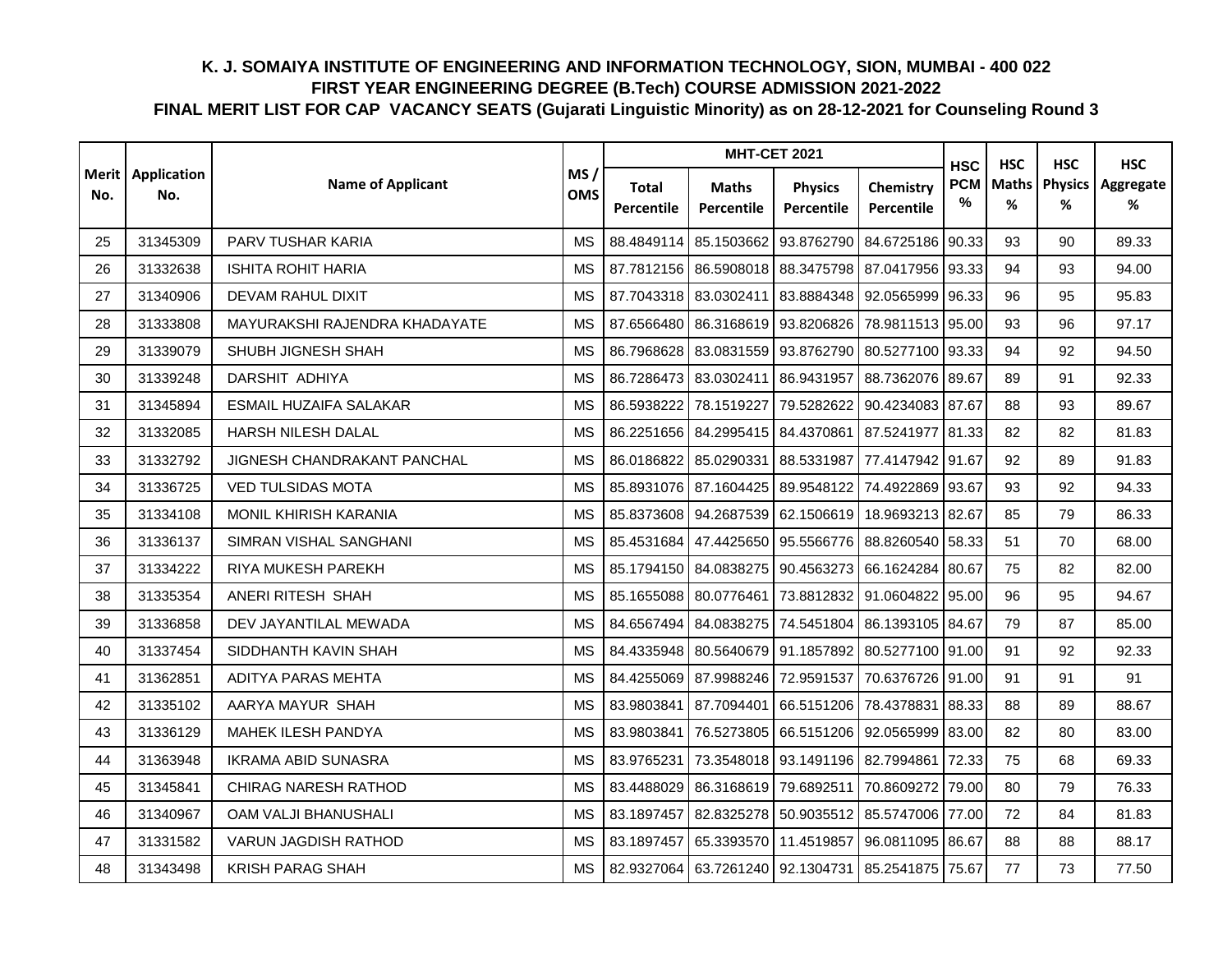|     |                                 |                               |                   | <b>MHT-CET 2021</b>               |                                  |                                                   |                                |                               | <b>HSC</b>           | <b>HSC</b>             | <b>HSC</b>     |
|-----|---------------------------------|-------------------------------|-------------------|-----------------------------------|----------------------------------|---------------------------------------------------|--------------------------------|-------------------------------|----------------------|------------------------|----------------|
| No. | <b>Merit</b> Application<br>No. | <b>Name of Applicant</b>      | MS/<br><b>OMS</b> | <b>Total</b><br><b>Percentile</b> | <b>Maths</b><br>Percentile       | <b>Physics</b><br><b>Percentile</b>               | Chemistry<br><b>Percentile</b> | <b>HSC</b><br><b>PCM</b><br>% | <b>Maths</b><br>$\%$ | <b>Physics</b><br>$\%$ | Aggregate<br>% |
| 25  | 31345309                        | PARV TUSHAR KARIA             | <b>MS</b>         | 88.4849114                        |                                  | 85.1503662 93.8762790 84.6725186 90.33            |                                |                               | 93                   | 90                     | 89.33          |
| 26  | 31332638                        | <b>ISHITA ROHIT HARIA</b>     | <b>MS</b>         | 87.7812156                        | 86.5908018                       | 88.3475798                                        | 87.0417956 93.33               |                               | 94                   | 93                     | 94.00          |
| 27  | 31340906                        | DEVAM RAHUL DIXIT             | <b>MS</b>         |                                   | 87.7043318 83.0302411            | 83.8884348                                        | 92.0565999 96.33               |                               | 96                   | 95                     | 95.83          |
| 28  | 31333808                        | MAYURAKSHI RAJENDRA KHADAYATE | <b>MS</b>         | 87.6566480                        | 86.3168619                       |                                                   | 93.8206826 78.9811513 95.00    |                               | 93                   | 96                     | 97.17          |
| 29  | 31339079                        | SHUBH JIGNESH SHAH            | <b>MS</b>         |                                   |                                  | 86.7968628 83.0831559 93.8762790 80.5277100 93.33 |                                |                               | 94                   | 92                     | 94.50          |
| 30  | 31339248                        | DARSHIT ADHIYA                | <b>MS</b>         | 86.7286473                        | 83.0302411                       | 86.9431957                                        | 88.7362076 89.67               |                               | 89                   | 91                     | 92.33          |
| 31  | 31345894                        | ESMAIL HUZAIFA SALAKAR        | <b>MS</b>         | 86.5938222                        | 78.1519227                       | 79.5282622                                        | 90.4234083 87.67               |                               | 88                   | 93                     | 89.67          |
| 32  | 31332085                        | HARSH NILESH DALAL            | <b>MS</b>         | 86.2251656                        | 84.2995415                       | 84.4370861                                        | 87.5241977 81.33               |                               | 82                   | 82                     | 81.83          |
| 33  | 31332792                        | JIGNESH CHANDRAKANT PANCHAL   | MS                | 86.0186822                        | 85.0290331                       | 88.5331987                                        | 77.4147942 91.67               |                               | 92                   | 89                     | 91.83          |
| 34  | 31336725                        | <b>VED TULSIDAS MOTA</b>      | <b>MS</b>         | 85.8931076                        | 87.1604425                       | 89.9548122                                        | 74.4922869 93.67               |                               | 93                   | 92                     | 94.33          |
| 35  | 31334108                        | MONIL KHIRISH KARANIA         | <b>MS</b>         |                                   | 85.8373608 94.2687539            | 62.1506619 18.9693213 82.67                       |                                |                               | 85                   | 79                     | 86.33          |
| 36  | 31336137                        | SIMRAN VISHAL SANGHANI        | <b>MS</b>         | 85.4531684                        | 47.4425650                       | 95.5566776                                        | 88.8260540 58.33               |                               | 51                   | 70                     | 68.00          |
| 37  | 31334222                        | RIYA MUKESH PAREKH            | <b>MS</b>         | 85.1794150                        | 84.0838275                       | 90.4563273 66.1624284 80.67                       |                                |                               | 75                   | 82                     | 82.00          |
| 38  | 31335354                        | ANERI RITESH SHAH             | <b>MS</b>         | 85.1655088                        | 80.0776461                       | 73.8812832                                        | 91.0604822 95.00               |                               | 96                   | 95                     | 94.67          |
| 39  | 31336858                        | DEV JAYANTILAL MEWADA         | MS                | 84.6567494                        | 84.0838275                       | 74.5451804                                        | 86.1393105 84.67               |                               | 79                   | 87                     | 85.00          |
| 40  | 31337454                        | SIDDHANTH KAVIN SHAH          | <b>MS</b>         | 84.4335948                        | 80.5640679                       | 91.1857892                                        | 80.5277100 91.00               |                               | 91                   | 92                     | 92.33          |
| 41  | 31362851                        | ADITYA PARAS MEHTA            | MS                | 84.4255069                        | 87.9988246                       | 72.9591537                                        | 70.6376726 91.00               |                               | 91                   | 91                     | 91             |
| 42  | 31335102                        | AARYA MAYUR SHAH              | <b>MS</b>         | 83.9803841                        | 87.7094401                       |                                                   | 66.5151206 78.4378831 88.33    |                               | 88                   | 89                     | 88.67          |
| 43  | 31336129                        | MAHEK ILESH PANDYA            | <b>MS</b>         | 83.9803841                        | 76.5273805                       | 66.5151206                                        | 92.0565999 83.00               |                               | 82                   | 80                     | 83.00          |
| 44  | 31363948                        | IKRAMA ABID SUNASRA           | <b>MS</b>         | 83.9765231                        | 73.3548018                       | 93.1491196                                        | 82.7994861 72.33               |                               | 75                   | 68                     | 69.33          |
| 45  | 31345841                        | <b>CHIRAG NARESH RATHOD</b>   | <b>MS</b>         | 83.4488029                        | 86.3168619                       | 79.6892511                                        | 70.8609272 79.00               |                               | 80                   | 79                     | 76.33          |
| 46  | 31340967                        | OAM VALJI BHANUSHALI          | <b>MS</b>         | 83.1897457                        | 82.8325278                       | 50.9035512                                        | 85.5747006 77.00               |                               | 72                   | 84                     | 81.83          |
| 47  | 31331582                        | VARUN JAGDISH RATHOD          | MS                | 83.1897457                        | 65.3393570                       | 11.4519857                                        | 96.0811095 86.67               |                               | 88                   | 88                     | 88.17          |
| 48  | 31343498                        | <b>KRISH PARAG SHAH</b>       | <b>MS</b>         |                                   | 82.9327064 63.7261240 92.1304731 |                                                   | 85.2541875 75.67               |                               | 77                   | 73                     | 77.50          |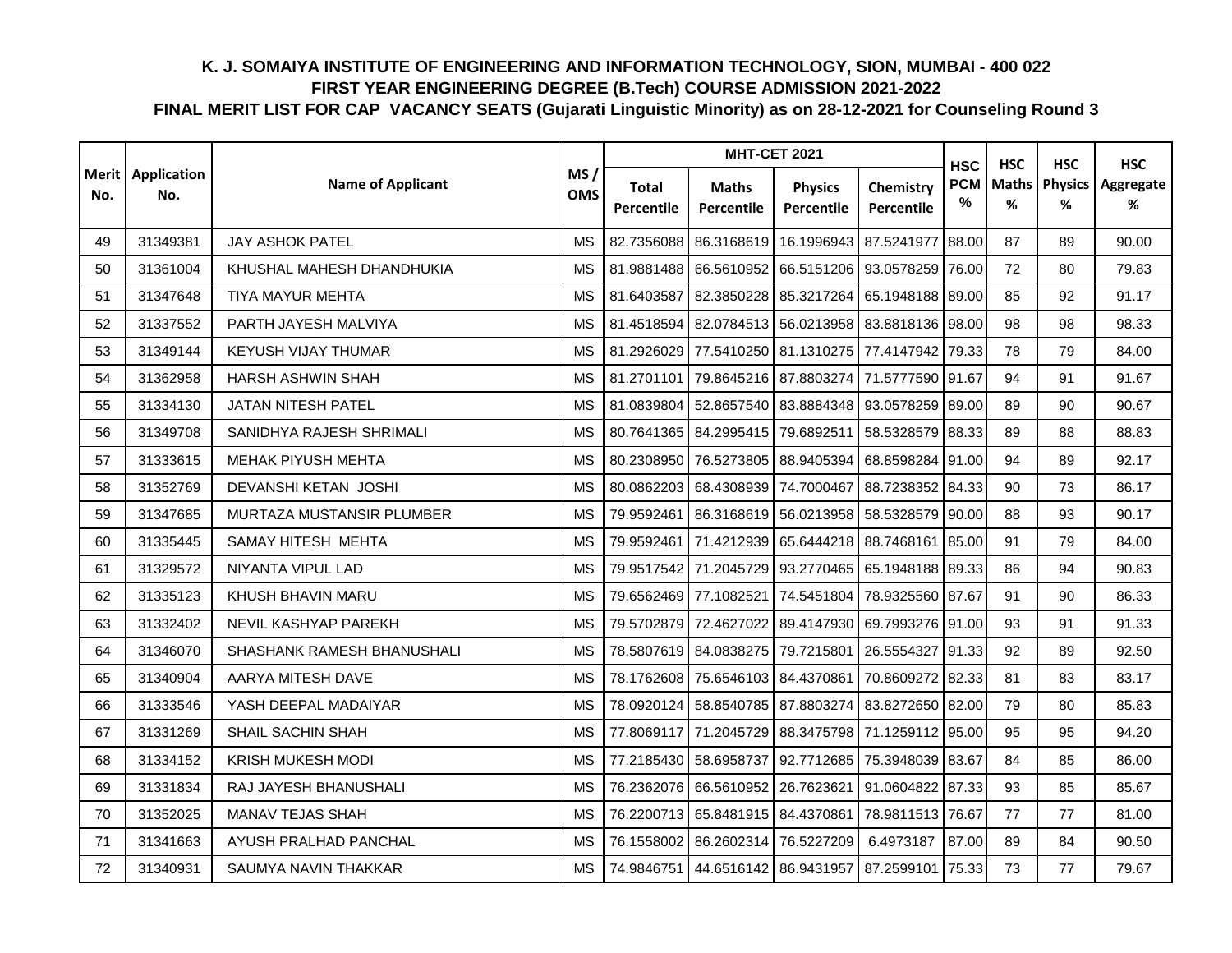|              |                    |                            |                   |                            | <b>MHT-CET 2021</b>               |                                                   |                                | <b>HSC</b>      | <b>HSC</b>        | <b>HSC</b>          | <b>HSC</b>     |
|--------------|--------------------|----------------------------|-------------------|----------------------------|-----------------------------------|---------------------------------------------------|--------------------------------|-----------------|-------------------|---------------------|----------------|
| Merit<br>No. | Application<br>No. | <b>Name of Applicant</b>   | MS/<br><b>OMS</b> | <b>Total</b><br>Percentile | <b>Maths</b><br><b>Percentile</b> | <b>Physics</b><br><b>Percentile</b>               | Chemistry<br><b>Percentile</b> | <b>PCM</b><br>% | <b>Maths</b><br>% | <b>Physics</b><br>% | Aggregate<br>% |
| 49           | 31349381           | <b>JAY ASHOK PATEL</b>     | <b>MS</b>         | 82.7356088                 | 86.3168619                        | 16.1996943                                        | 87.5241977 88.00               |                 | 87                | 89                  | 90.00          |
| 50           | 31361004           | KHUSHAL MAHESH DHANDHUKIA  | <b>MS</b>         | 81.9881488                 | 66.5610952                        | 66.5151206                                        | 93.0578259 76.00               |                 | 72                | 80                  | 79.83          |
| 51           | 31347648           | TIYA MAYUR MEHTA           | <b>MS</b>         | 81.6403587                 | 82.3850228                        | 85.3217264                                        | 65.1948188 89.00               |                 | 85                | 92                  | 91.17          |
| 52           | 31337552           | PARTH JAYESH MALVIYA       | <b>MS</b>         | 81.4518594                 | 82.0784513 56.0213958             |                                                   | 83.8818136 98.00               |                 | 98                | 98                  | 98.33          |
| 53           | 31349144           | <b>KEYUSH VIJAY THUMAR</b> | <b>MS</b>         |                            |                                   | 81.2926029 77.5410250 81.1310275 77.4147942 79.33 |                                |                 | 78                | 79                  | 84.00          |
| 54           | 31362958           | HARSH ASHWIN SHAH          | <b>MS</b>         | 81.2701101                 | 79.8645216 87.8803274             |                                                   | 71.5777590 91.67               |                 | 94                | 91                  | 91.67          |
| 55           | 31334130           | JATAN NITESH PATEL         | <b>MS</b>         | 81.0839804                 | 52.8657540                        | 83.8884348                                        | 93.0578259 89.00               |                 | 89                | 90                  | 90.67          |
| 56           | 31349708           | SANIDHYA RAJESH SHRIMALI   | <b>MS</b>         |                            | 80.7641365 84.2995415             | 79.6892511                                        | 58.5328579 88.33               |                 | 89                | 88                  | 88.83          |
| 57           | 31333615           | MEHAK PIYUSH MEHTA         | MS                | 80.2308950                 | 76.5273805                        | 88.9405394                                        | 68.8598284 91.00               |                 | 94                | 89                  | 92.17          |
| 58           | 31352769           | DEVANSHI KETAN JOSHI       | <b>MS</b>         | 80.0862203                 | 68.4308939 74.7000467             |                                                   | 88.7238352 84.33               |                 | 90                | 73                  | 86.17          |
| 59           | 31347685           | MURTAZA MUSTANSIR PLUMBER  | <b>MS</b>         | 79.9592461                 | 86.3168619                        | 56.0213958                                        | 58.5328579 90.00               |                 | 88                | 93                  | 90.17          |
| 60           | 31335445           | SAMAY HITESH MEHTA         | <b>MS</b>         | 79.9592461                 | 71.4212939                        | 65.6444218                                        | 88.7468161 85.00               |                 | 91                | 79                  | 84.00          |
| 61           | 31329572           | NIYANTA VIPUL LAD          | <b>MS</b>         |                            | 79.9517542 71.2045729             | 93.2770465                                        | 65.1948188 89.33               |                 | 86                | 94                  | 90.83          |
| 62           | 31335123           | KHUSH BHAVIN MARU          | <b>MS</b>         | 79.6562469                 | 77.1082521                        | 74.5451804                                        | 78.9325560 87.67               |                 | 91                | 90                  | 86.33          |
| 63           | 31332402           | NEVIL KASHYAP PAREKH       | <b>MS</b>         | 79.5702879                 | 72.4627022                        | 89.4147930                                        | 69.7993276 91.00               |                 | 93                | 91                  | 91.33          |
| 64           | 31346070           | SHASHANK RAMESH BHANUSHALI | <b>MS</b>         | 78.5807619                 | 84.0838275                        | 79.7215801                                        | 26.5554327 91.33               |                 | 92                | 89                  | 92.50          |
| 65           | 31340904           | AARYA MITESH DAVE          | <b>MS</b>         | 78.1762608                 | 75.6546103                        | 84.4370861                                        | 70.8609272 82.33               |                 | 81                | 83                  | 83.17          |
| 66           | 31333546           | YASH DEEPAL MADAIYAR       | <b>MS</b>         | 78.0920124                 | 58.8540785 87.8803274             |                                                   | 83.8272650 82.00               |                 | 79                | 80                  | 85.83          |
| 67           | 31331269           | <b>SHAIL SACHIN SHAH</b>   | <b>MS</b>         | 77.8069117                 | 71.2045729                        | 88.3475798                                        | 71.1259112 95.00               |                 | 95                | 95                  | 94.20          |
| 68           | 31334152           | KRISH MUKESH MODI          | <b>MS</b>         | 77.2185430                 | 58.6958737                        | 92.7712685                                        | 75.3948039 83.67               |                 | 84                | 85                  | 86.00          |
| 69           | 31331834           | RAJ JAYESH BHANUSHALI      | MS                |                            | 76.2362076 66.5610952             | 26.7623621                                        | 91.0604822 87.33               |                 | 93                | 85                  | 85.67          |
| 70           | 31352025           | MANAV TEJAS SHAH           | <b>MS</b>         | 76.2200713                 | 65.8481915                        | 84.4370861                                        | 78.9811513 76.67               |                 | 77                | 77                  | 81.00          |
| 71           | 31341663           | AYUSH PRALHAD PANCHAL      | <b>MS</b>         | 76.1558002                 | 86.2602314                        | 76.5227209                                        | 6.4973187                      | 87.00           | 89                | 84                  | 90.50          |
| 72           | 31340931           | SAUMYA NAVIN THAKKAR       | <b>MS</b>         | 74.9846751                 | 44.6516142 86.9431957             |                                                   | 87.2599101 75.33               |                 | 73                | 77                  | 79.67          |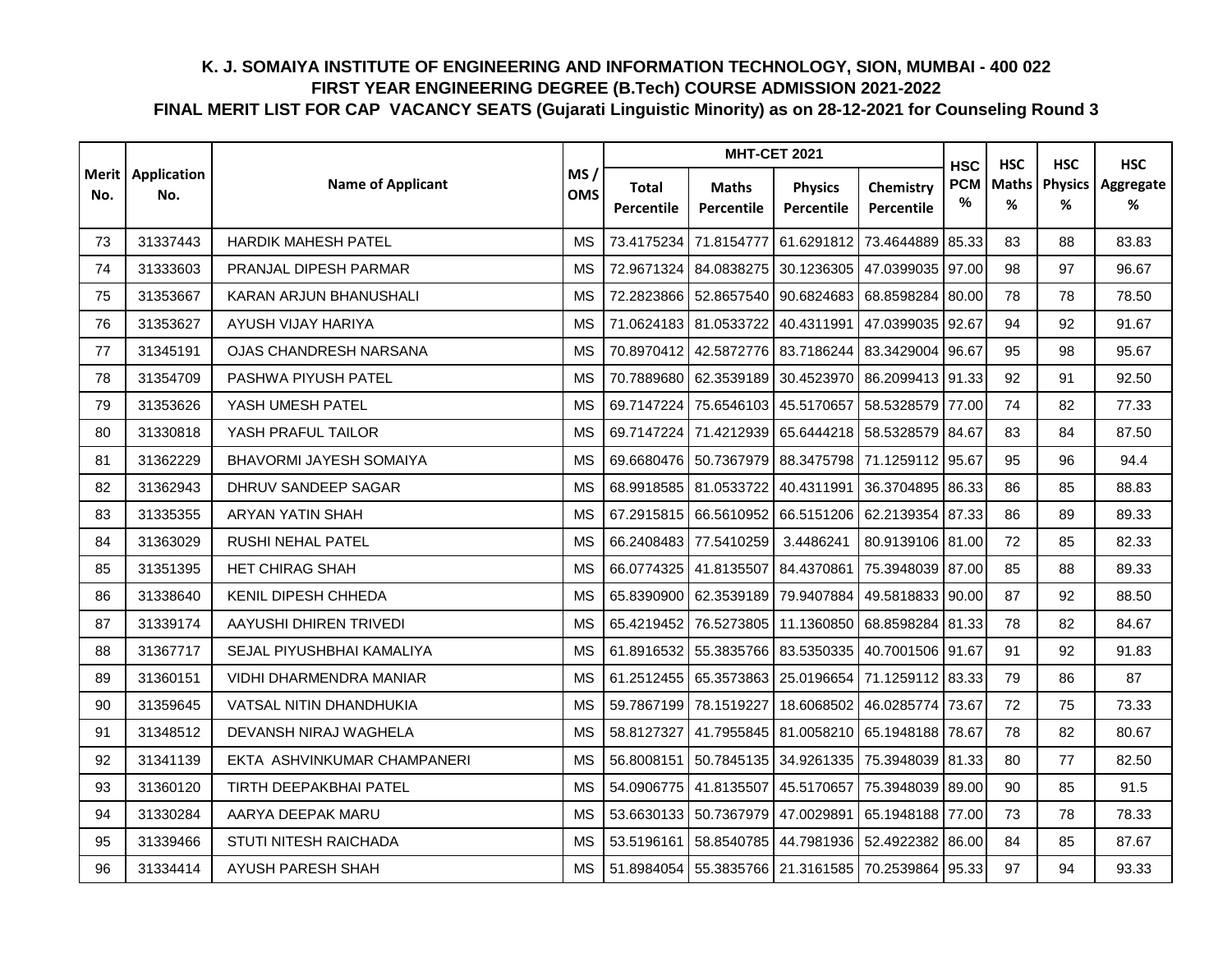|     |                                 |                             |                   | <b>MHT-CET 2021</b>        |                                   |                                        |                         |                               | <b>HSC</b>           | <b>HSC</b>   | <b>HSC</b>     |
|-----|---------------------------------|-----------------------------|-------------------|----------------------------|-----------------------------------|----------------------------------------|-------------------------|-------------------------------|----------------------|--------------|----------------|
| No. | <b>Merit</b> Application<br>No. | <b>Name of Applicant</b>    | MS/<br><b>OMS</b> | <b>Total</b><br>Percentile | <b>Maths</b><br><b>Percentile</b> | <b>Physics</b><br><b>Percentile</b>    | Chemistry<br>Percentile | <b>HSC</b><br><b>PCM</b><br>℅ | <b>Maths</b><br>$\%$ | Physics<br>% | Aggregate<br>% |
| 73  | 31337443                        | <b>HARDIK MAHESH PATEL</b>  | <b>MS</b>         | 73.4175234                 | 71.8154777                        | 61.6291812 73.4644889 85.33            |                         |                               | 83                   | 88           | 83.83          |
| 74  | 31333603                        | PRANJAL DIPESH PARMAR       | <b>MS</b>         | 72.9671324                 | 84.0838275                        | 30.1236305                             | 47.0399035 97.00        |                               | 98                   | 97           | 96.67          |
| 75  | 31353667                        | KARAN ARJUN BHANUSHALI      | <b>MS</b>         | 72.2823866                 | 52.8657540 90.6824683             |                                        | 68.8598284 80.00        |                               | 78                   | 78           | 78.50          |
| 76  | 31353627                        | AYUSH VIJAY HARIYA          | <b>MS</b>         | 71.0624183                 | 81.0533722                        | 40.4311991                             | 47.0399035 92.67        |                               | 94                   | 92           | 91.67          |
| 77  | 31345191                        | OJAS CHANDRESH NARSANA      | <b>MS</b>         | 70.8970412                 |                                   | 42.5872776 83.7186244                  | 83.3429004 96.67        |                               | 95                   | 98           | 95.67          |
| 78  | 31354709                        | PASHWA PIYUSH PATEL         | <b>MS</b>         | 70.7889680                 | 62.3539189                        | 30.4523970                             | 86.2099413 91.33        |                               | 92                   | 91           | 92.50          |
| 79  | 31353626                        | YASH UMESH PATEL            | <b>MS</b>         | 69.7147224                 | 75.6546103                        | 45.5170657                             | 58.5328579 77.00        |                               | 74                   | 82           | 77.33          |
| 80  | 31330818                        | YASH PRAFUL TAILOR          | <b>MS</b>         | 69.7147224                 | 71.4212939                        | 65.6444218                             | 58.5328579 84.67        |                               | 83                   | 84           | 87.50          |
| 81  | 31362229                        | BHAVORMI JAYESH SOMAIYA     | MS                | 69.6680476                 |                                   | 50.7367979 88.3475798                  | 71.1259112 95.67        |                               | 95                   | 96           | 94.4           |
| 82  | 31362943                        | DHRUV SANDEEP SAGAR         | <b>MS</b>         | 68.9918585                 | 81.0533722                        | 40.4311991                             | 36.3704895              | 86.33                         | 86                   | 85           | 88.83          |
| 83  | 31335355                        | <b>ARYAN YATIN SHAH</b>     | <b>MS</b>         | 67.2915815                 | 66.5610952                        | 66.5151206                             | 62.2139354 87.33        |                               | 86                   | 89           | 89.33          |
| 84  | 31363029                        | RUSHI NEHAL PATEL           | <b>MS</b>         | 66.2408483                 | 77.5410259                        | 3.4486241                              | 80.9139106 81.00        |                               | 72                   | 85           | 82.33          |
| 85  | 31351395                        | <b>HET CHIRAG SHAH</b>      | <b>MS</b>         | 66.0774325                 | 41.8135507                        | 84.4370861                             | 75.3948039 87.00        |                               | 85                   | 88           | 89.33          |
| 86  | 31338640                        | KENIL DIPESH CHHEDA         | <b>MS</b>         | 65.8390900                 | 62.3539189                        | 79.9407884                             | 49.5818833 90.00        |                               | 87                   | 92           | 88.50          |
| 87  | 31339174                        | AAYUSHI DHIREN TRIVEDI      | MS                | 65.4219452                 | 76.5273805                        | 11.1360850                             | 68.8598284 81.33        |                               | 78                   | 82           | 84.67          |
| 88  | 31367717                        | SEJAL PIYUSHBHAI KAMALIYA   | <b>MS</b>         | 61.8916532                 | 55.3835766                        | 83.5350335                             | 40.7001506 91.67        |                               | 91                   | 92           | 91.83          |
| 89  | 31360151                        | VIDHI DHARMENDRA MANIAR     | MS                | 61.2512455                 | 65.3573863                        | 25.0196654                             | 71.1259112 83.33        |                               | 79                   | 86           | 87             |
| 90  | 31359645                        | VATSAL NITIN DHANDHUKIA     | <b>MS</b>         | 59.7867199                 | 78.1519227                        | 18.6068502                             | 46.0285774 73.67        |                               | 72                   | 75           | 73.33          |
| 91  | 31348512                        | DEVANSH NIRAJ WAGHELA       | <b>MS</b>         | 58.8127327                 | 41.7955845                        | 81.0058210                             | 65.1948188 78.67        |                               | 78                   | 82           | 80.67          |
| 92  | 31341139                        | EKTA ASHVINKUMAR CHAMPANERI | <b>MS</b>         | 56.8008151                 | 50.7845135                        | 34.9261335                             | 75.3948039 81.33        |                               | 80                   | 77           | 82.50          |
| 93  | 31360120                        | TIRTH DEEPAKBHAI PATEL      | <b>MS</b>         | 54.0906775                 | 41.8135507                        | 45.5170657                             | 75.3948039              | 89.00                         | 90                   | 85           | 91.5           |
| 94  | 31330284                        | AARYA DEEPAK MARU           | <b>MS</b>         | 53.6630133                 | 50.7367979                        | 47.0029891                             | 65.1948188 77.00        |                               | 73                   | 78           | 78.33          |
| 95  | 31339466                        | STUTI NITESH RAICHADA       | <b>MS</b>         | 53.5196161                 | 58.8540785                        | 44.7981936                             | 52.4922382              | 86.00                         | 84                   | 85           | 87.67          |
| 96  | 31334414                        | AYUSH PARESH SHAH           | <b>MS</b>         | 51.8984054                 |                                   | 55.3835766 21.3161585 70.2539864 95.33 |                         |                               | 97                   | 94           | 93.33          |